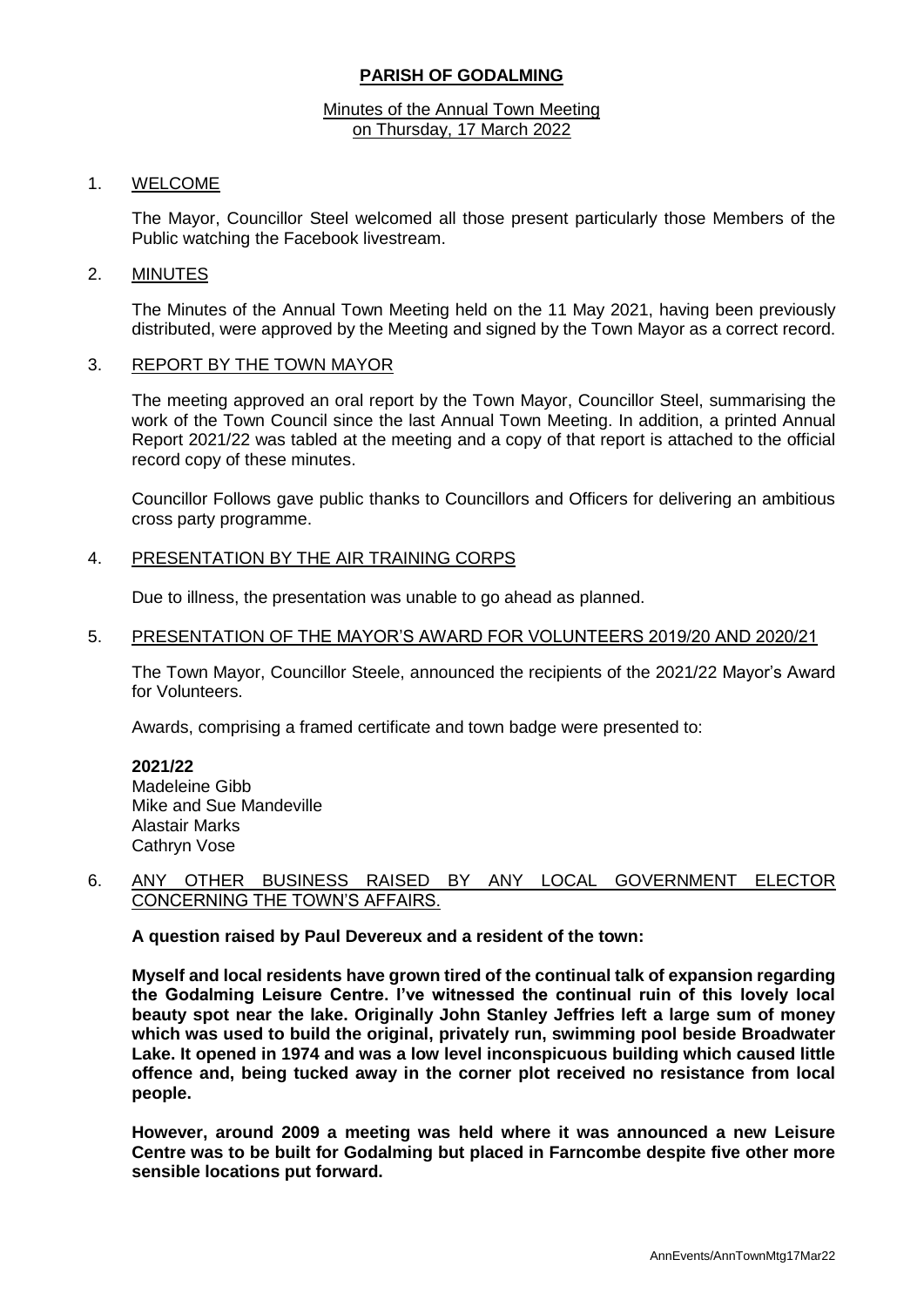# **PARISH OF GODALMING**

#### Minutes of the Annual Town Meeting on Thursday, 17 March 2022

### 1. WELCOME

The Mayor, Councillor Steel welcomed all those present particularly those Members of the Public watching the Facebook livestream.

### 2. MINUTES

The Minutes of the Annual Town Meeting held on the 11 May 2021, having been previously distributed, were approved by the Meeting and signed by the Town Mayor as a correct record.

### 3. REPORT BY THE TOWN MAYOR

The meeting approved an oral report by the Town Mayor, Councillor Steel, summarising the work of the Town Council since the last Annual Town Meeting. In addition, a printed Annual Report 2021/22 was tabled at the meeting and a copy of that report is attached to the official record copy of these minutes.

Councillor Follows gave public thanks to Councillors and Officers for delivering an ambitious cross party programme.

## 4. PRESENTATION BY THE AIR TRAINING CORPS

Due to illness, the presentation was unable to go ahead as planned.

#### 5. PRESENTATION OF THE MAYOR'S AWARD FOR VOLUNTEERS 2019/20 AND 2020/21

The Town Mayor, Councillor Steele, announced the recipients of the 2021/22 Mayor's Award for Volunteers.

Awards, comprising a framed certificate and town badge were presented to:

**2021/22** Madeleine Gibb Mike and Sue Mandeville Alastair Marks Cathryn Vose

### 6. ANY OTHER BUSINESS RAISED BY ANY LOCAL GOVERNMENT ELECTOR CONCERNING THE TOWN'S AFFAIRS.

**A question raised by Paul Devereux and a resident of the town:** 

**Myself and local residents have grown tired of the continual talk of expansion regarding the Godalming Leisure Centre. I've witnessed the continual ruin of this lovely local beauty spot near the lake. Originally John Stanley Jeffries left a large sum of money which was used to build the original, privately run, swimming pool beside Broadwater Lake. It opened in 1974 and was a low level inconspicuous building which caused little offence and, being tucked away in the corner plot received no resistance from local people.**

**However, around 2009 a meeting was held where it was announced a new Leisure Centre was to be built for Godalming but placed in Farncombe despite five other more sensible locations put forward.**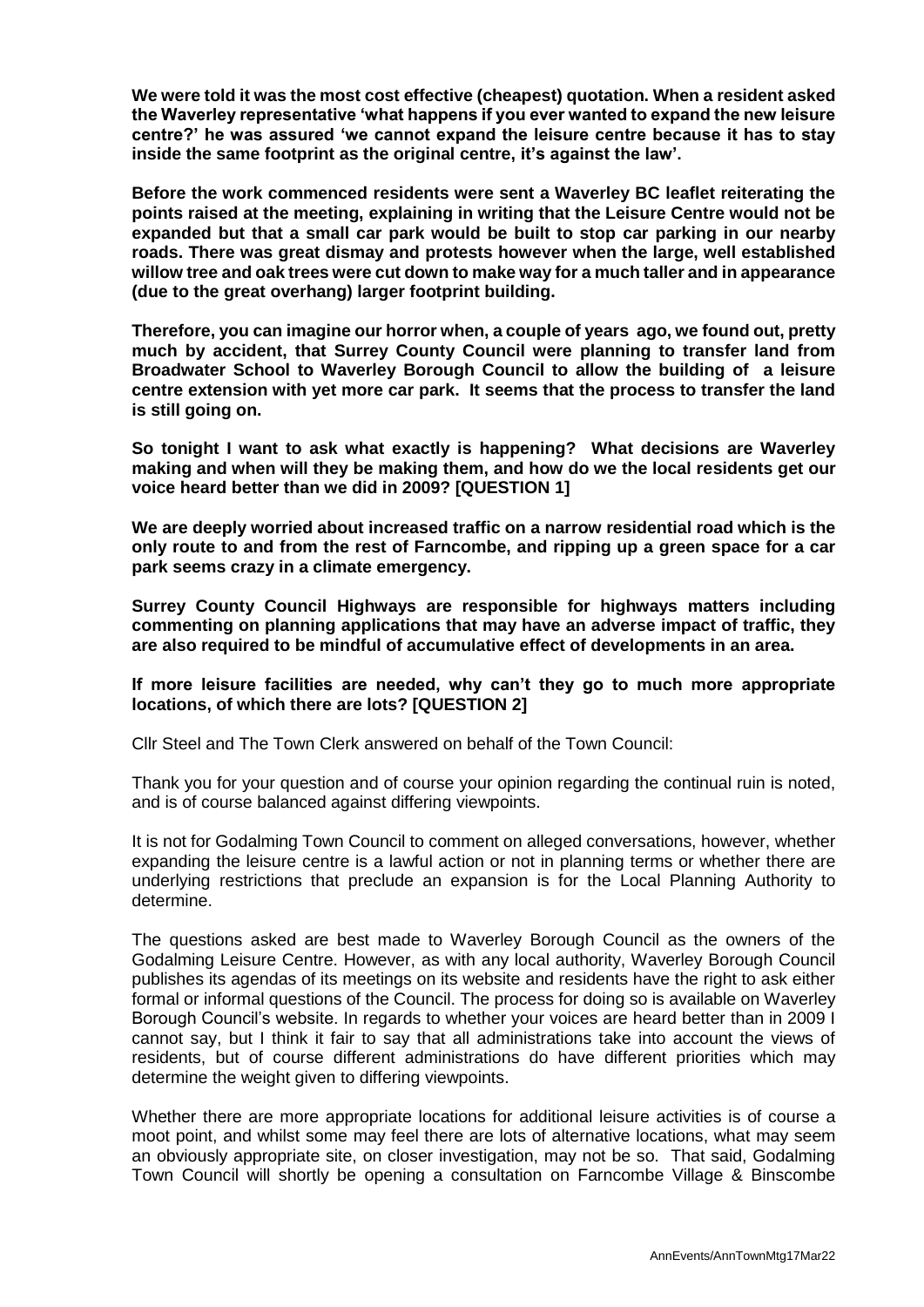**We were told it was the most cost effective (cheapest) quotation. When a resident asked the Waverley representative 'what happens if you ever wanted to expand the new leisure centre?' he was assured 'we cannot expand the leisure centre because it has to stay inside the same footprint as the original centre, it's against the law'.** 

**Before the work commenced residents were sent a Waverley BC leaflet reiterating the points raised at the meeting, explaining in writing that the Leisure Centre would not be expanded but that a small car park would be built to stop car parking in our nearby roads. There was great dismay and protests however when the large, well established willow tree and oak trees were cut down to make way for a much taller and in appearance (due to the great overhang) larger footprint building.** 

**Therefore, you can imagine our horror when, a couple of years ago, we found out, pretty much by accident, that Surrey County Council were planning to transfer land from Broadwater School to Waverley Borough Council to allow the building of a leisure centre extension with yet more car park. It seems that the process to transfer the land is still going on.**

**So tonight I want to ask what exactly is happening? What decisions are Waverley making and when will they be making them, and how do we the local residents get our voice heard better than we did in 2009? [QUESTION 1]**

**We are deeply worried about increased traffic on a narrow residential road which is the only route to and from the rest of Farncombe, and ripping up a green space for a car park seems crazy in a climate emergency.**

**Surrey County Council Highways are responsible for highways matters including commenting on planning applications that may have an adverse impact of traffic, they are also required to be mindful of accumulative effect of developments in an area.** 

## **If more leisure facilities are needed, why can't they go to much more appropriate locations, of which there are lots? [QUESTION 2]**

Cllr Steel and The Town Clerk answered on behalf of the Town Council:

Thank you for your question and of course your opinion regarding the continual ruin is noted, and is of course balanced against differing viewpoints.

It is not for Godalming Town Council to comment on alleged conversations, however, whether expanding the leisure centre is a lawful action or not in planning terms or whether there are underlying restrictions that preclude an expansion is for the Local Planning Authority to determine.

The questions asked are best made to Waverley Borough Council as the owners of the Godalming Leisure Centre. However, as with any local authority, Waverley Borough Council publishes its agendas of its meetings on its website and residents have the right to ask either formal or informal questions of the Council. The process for doing so is available on Waverley Borough Council's website. In regards to whether your voices are heard better than in 2009 I cannot say, but I think it fair to say that all administrations take into account the views of residents, but of course different administrations do have different priorities which may determine the weight given to differing viewpoints.

Whether there are more appropriate locations for additional leisure activities is of course a moot point, and whilst some may feel there are lots of alternative locations, what may seem an obviously appropriate site, on closer investigation, may not be so. That said, Godalming Town Council will shortly be opening a consultation on Farncombe Village & Binscombe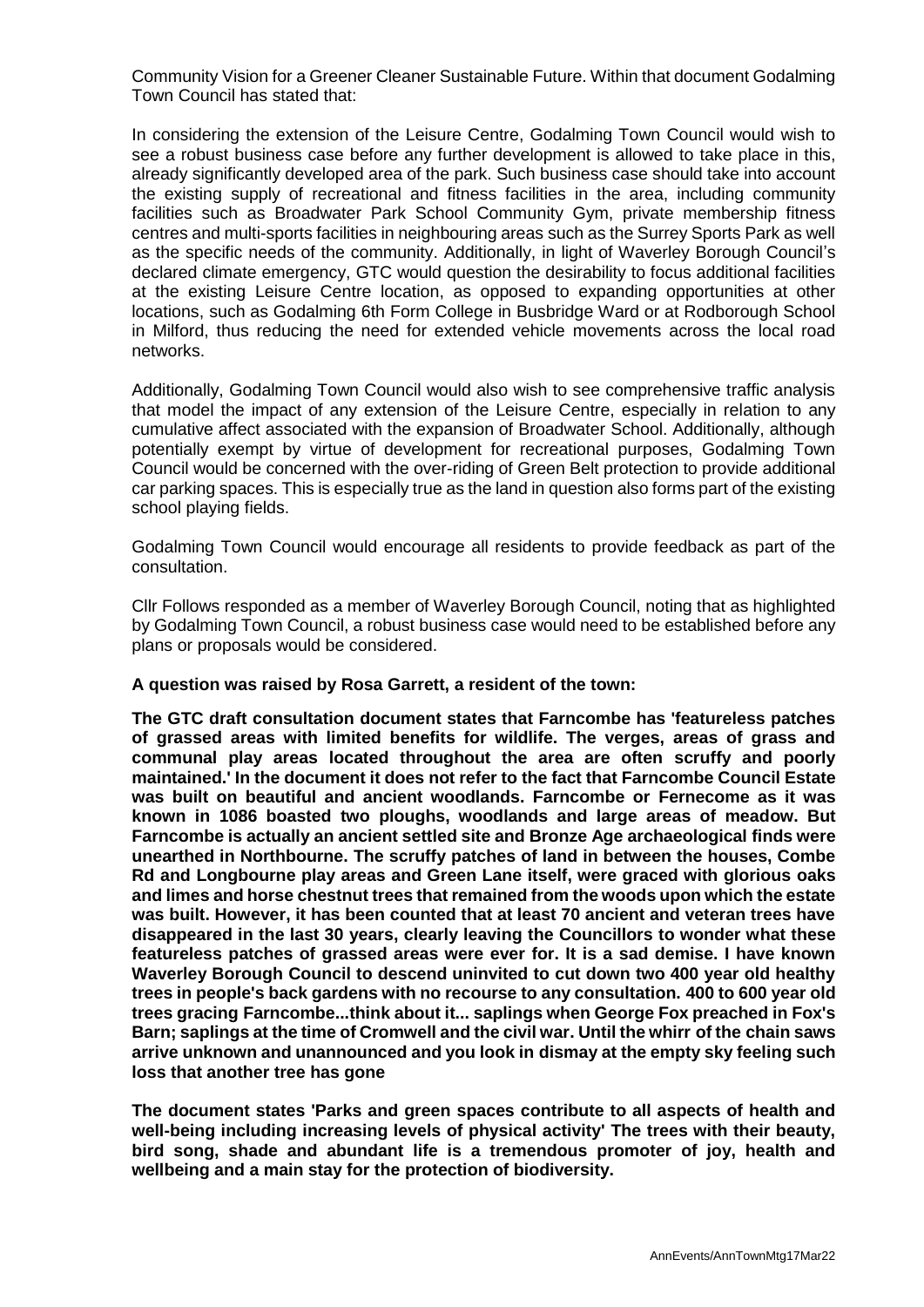Community Vision for a Greener Cleaner Sustainable Future. Within that document Godalming Town Council has stated that:

In considering the extension of the Leisure Centre, Godalming Town Council would wish to see a robust business case before any further development is allowed to take place in this, already significantly developed area of the park. Such business case should take into account the existing supply of recreational and fitness facilities in the area, including community facilities such as Broadwater Park School Community Gym, private membership fitness centres and multi-sports facilities in neighbouring areas such as the Surrey Sports Park as well as the specific needs of the community. Additionally, in light of Waverley Borough Council's declared climate emergency, GTC would question the desirability to focus additional facilities at the existing Leisure Centre location, as opposed to expanding opportunities at other locations, such as Godalming 6th Form College in Busbridge Ward or at Rodborough School in Milford, thus reducing the need for extended vehicle movements across the local road networks.

Additionally, Godalming Town Council would also wish to see comprehensive traffic analysis that model the impact of any extension of the Leisure Centre, especially in relation to any cumulative affect associated with the expansion of Broadwater School. Additionally, although potentially exempt by virtue of development for recreational purposes, Godalming Town Council would be concerned with the over-riding of Green Belt protection to provide additional car parking spaces. This is especially true as the land in question also forms part of the existing school playing fields.

Godalming Town Council would encourage all residents to provide feedback as part of the consultation.

Cllr Follows responded as a member of Waverley Borough Council, noting that as highlighted by Godalming Town Council, a robust business case would need to be established before any plans or proposals would be considered.

### **A question was raised by Rosa Garrett, a resident of the town:**

**The GTC draft consultation document states that Farncombe has 'featureless patches of grassed areas with limited benefits for wildlife. The verges, areas of grass and communal play areas located throughout the area are often scruffy and poorly maintained.' In the document it does not refer to the fact that Farncombe Council Estate was built on beautiful and ancient woodlands. Farncombe or Fernecome as it was known in 1086 boasted two ploughs, woodlands and large areas of meadow. But Farncombe is actually an ancient settled site and Bronze Age archaeological finds were unearthed in Northbourne. The scruffy patches of land in between the houses, Combe Rd and Longbourne play areas and Green Lane itself, were graced with glorious oaks and limes and horse chestnut trees that remained from the woods upon which the estate was built. However, it has been counted that at least 70 ancient and veteran trees have disappeared in the last 30 years, clearly leaving the Councillors to wonder what these featureless patches of grassed areas were ever for. It is a sad demise. I have known Waverley Borough Council to descend uninvited to cut down two 400 year old healthy trees in people's back gardens with no recourse to any consultation. 400 to 600 year old trees gracing Farncombe...think about it... saplings when George Fox preached in Fox's Barn; saplings at the time of Cromwell and the civil war. Until the whirr of the chain saws arrive unknown and unannounced and you look in dismay at the empty sky feeling such loss that another tree has gone**

**The document states 'Parks and green spaces contribute to all aspects of health and well-being including increasing levels of physical activity' The trees with their beauty, bird song, shade and abundant life is a tremendous promoter of joy, health and wellbeing and a main stay for the protection of biodiversity.**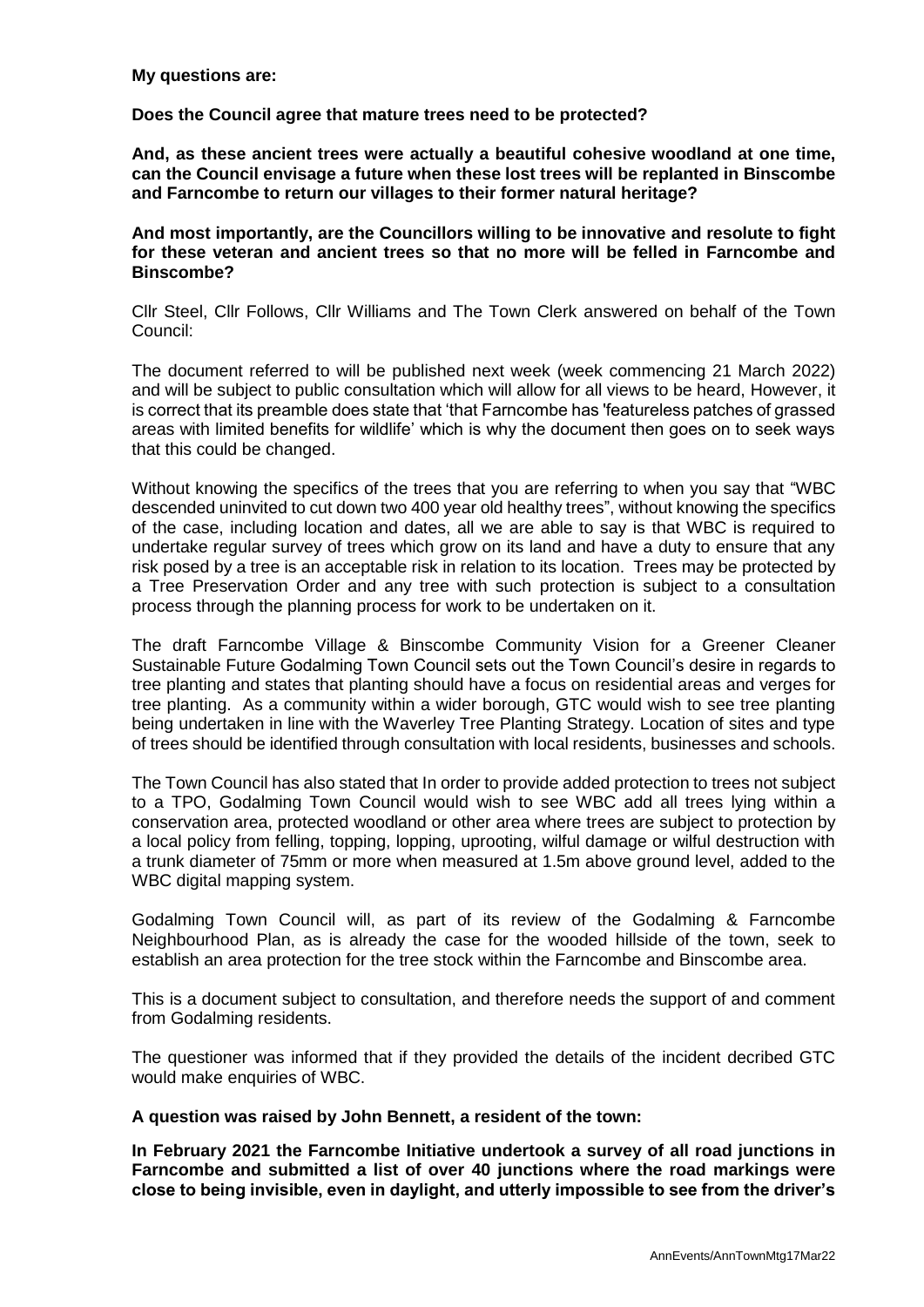### **My questions are:**

## **Does the Council agree that mature trees need to be protected?**

**And, as these ancient trees were actually a beautiful cohesive woodland at one time, can the Council envisage a future when these lost trees will be replanted in Binscombe and Farncombe to return our villages to their former natural heritage?** 

**And most importantly, are the Councillors willing to be innovative and resolute to fight for these veteran and ancient trees so that no more will be felled in Farncombe and Binscombe?**

Cllr Steel, Cllr Follows, Cllr Williams and The Town Clerk answered on behalf of the Town Council:

The document referred to will be published next week (week commencing 21 March 2022) and will be subject to public consultation which will allow for all views to be heard, However, it is correct that its preamble does state that 'that Farncombe has 'featureless patches of grassed areas with limited benefits for wildlife' which is why the document then goes on to seek ways that this could be changed.

Without knowing the specifics of the trees that you are referring to when you say that "WBC descended uninvited to cut down two 400 year old healthy trees", without knowing the specifics of the case, including location and dates, all we are able to say is that WBC is required to undertake regular survey of trees which grow on its land and have a duty to ensure that any risk posed by a tree is an acceptable risk in relation to its location. Trees may be protected by a Tree Preservation Order and any tree with such protection is subject to a consultation process through the planning process for work to be undertaken on it.

The draft Farncombe Village & Binscombe Community Vision for a Greener Cleaner Sustainable Future Godalming Town Council sets out the Town Council's desire in regards to tree planting and states that planting should have a focus on residential areas and verges for tree planting. As a community within a wider borough, GTC would wish to see tree planting being undertaken in line with the Waverley Tree Planting Strategy. Location of sites and type of trees should be identified through consultation with local residents, businesses and schools.

The Town Council has also stated that In order to provide added protection to trees not subject to a TPO, Godalming Town Council would wish to see WBC add all trees lying within a conservation area, protected woodland or other area where trees are subject to protection by a local policy from felling, topping, lopping, uprooting, wilful damage or wilful destruction with a trunk diameter of 75mm or more when measured at 1.5m above ground level, added to the WBC digital mapping system.

Godalming Town Council will, as part of its review of the Godalming & Farncombe Neighbourhood Plan, as is already the case for the wooded hillside of the town, seek to establish an area protection for the tree stock within the Farncombe and Binscombe area.

This is a document subject to consultation, and therefore needs the support of and comment from Godalming residents.

The questioner was informed that if they provided the details of the incident decribed GTC would make enquiries of WBC.

### **A question was raised by John Bennett, a resident of the town:**

**In February 2021 the Farncombe Initiative undertook a survey of all road junctions in Farncombe and submitted a list of over 40 junctions where the road markings were close to being invisible, even in daylight, and utterly impossible to see from the driver's**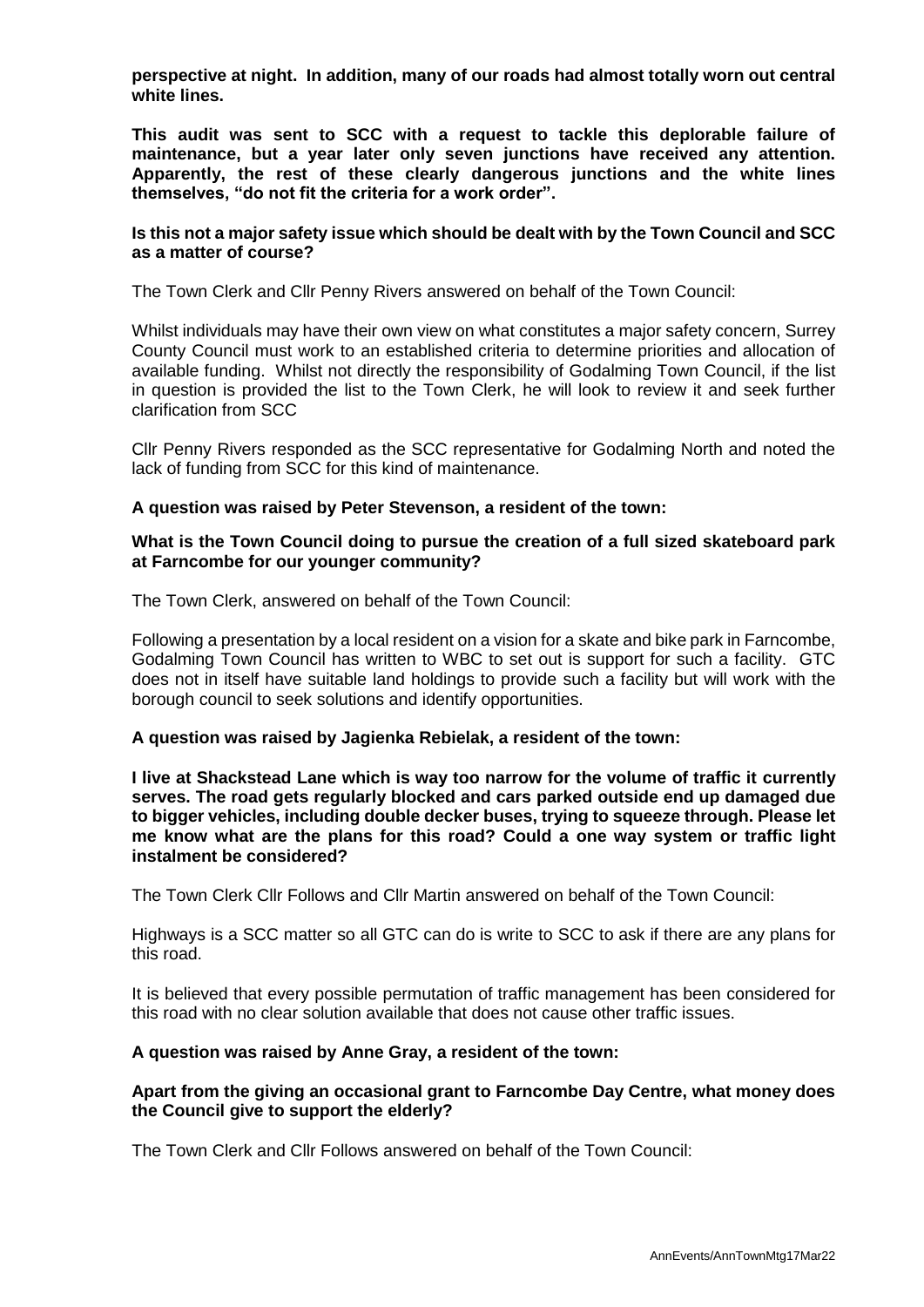**perspective at night. In addition, many of our roads had almost totally worn out central white lines.** 

**This audit was sent to SCC with a request to tackle this deplorable failure of maintenance, but a year later only seven junctions have received any attention. Apparently, the rest of these clearly dangerous junctions and the white lines themselves, "do not fit the criteria for a work order".** 

### **Is this not a major safety issue which should be dealt with by the Town Council and SCC as a matter of course?**

The Town Clerk and Cllr Penny Rivers answered on behalf of the Town Council:

Whilst individuals may have their own view on what constitutes a major safety concern, Surrey County Council must work to an established criteria to determine priorities and allocation of available funding. Whilst not directly the responsibility of Godalming Town Council, if the list in question is provided the list to the Town Clerk, he will look to review it and seek further clarification from SCC

Cllr Penny Rivers responded as the SCC representative for Godalming North and noted the lack of funding from SCC for this kind of maintenance.

### **A question was raised by Peter Stevenson, a resident of the town:**

#### **What is the Town Council doing to pursue the creation of a full sized skateboard park at Farncombe for our younger community?**

The Town Clerk, answered on behalf of the Town Council:

Following a presentation by a local resident on a vision for a skate and bike park in Farncombe, Godalming Town Council has written to WBC to set out is support for such a facility. GTC does not in itself have suitable land holdings to provide such a facility but will work with the borough council to seek solutions and identify opportunities.

### **A question was raised by Jagienka Rebielak, a resident of the town:**

**I live at Shackstead Lane which is way too narrow for the volume of traffic it currently serves. The road gets regularly blocked and cars parked outside end up damaged due to bigger vehicles, including double decker buses, trying to squeeze through. Please let me know what are the plans for this road? Could a one way system or traffic light instalment be considered?**

The Town Clerk Cllr Follows and Cllr Martin answered on behalf of the Town Council:

Highways is a SCC matter so all GTC can do is write to SCC to ask if there are any plans for this road.

It is believed that every possible permutation of traffic management has been considered for this road with no clear solution available that does not cause other traffic issues.

### **A question was raised by Anne Gray, a resident of the town:**

## **Apart from the giving an occasional grant to Farncombe Day Centre, what money does the Council give to support the elderly?**

The Town Clerk and Cllr Follows answered on behalf of the Town Council: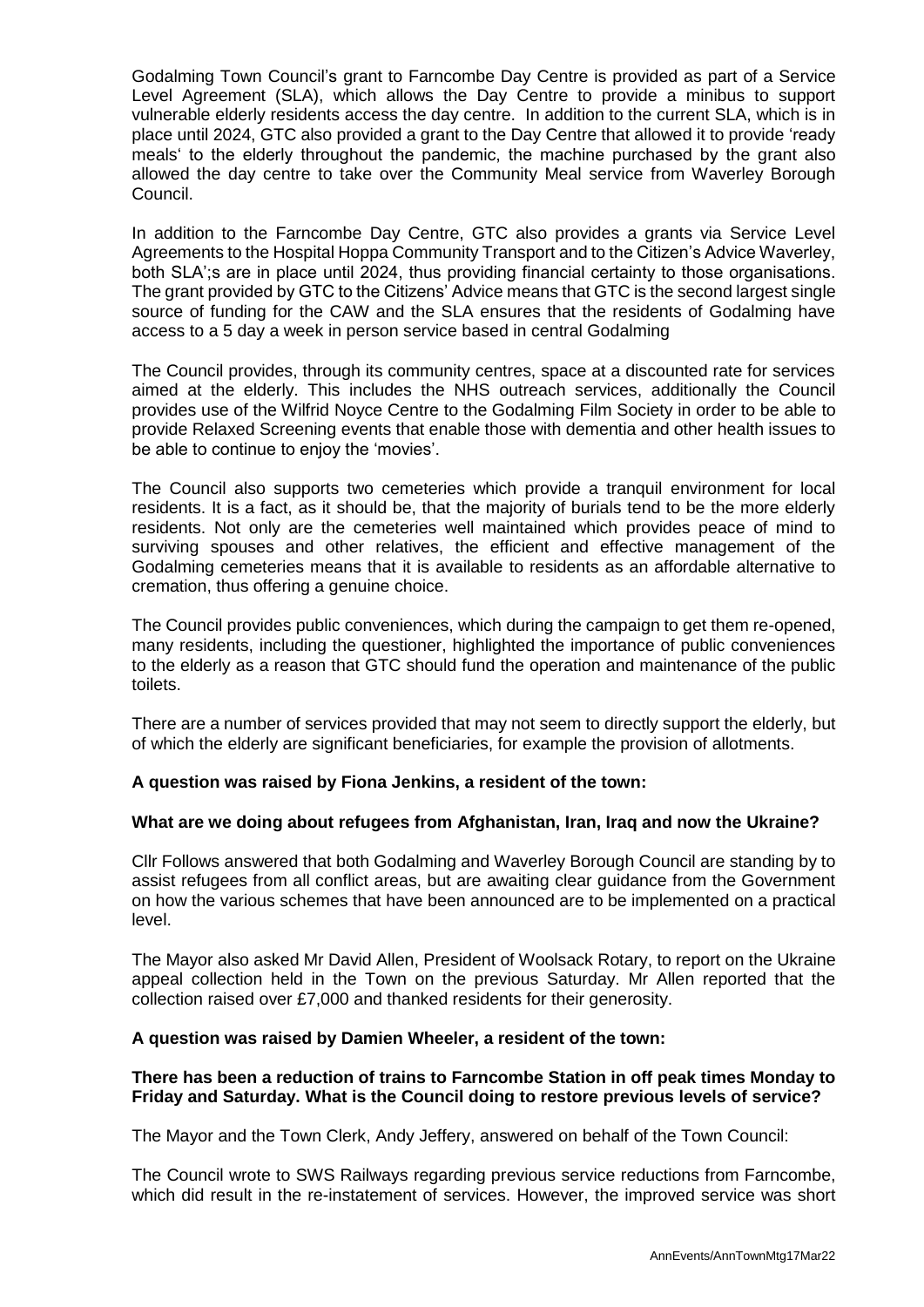Godalming Town Council's grant to Farncombe Day Centre is provided as part of a Service Level Agreement (SLA), which allows the Day Centre to provide a minibus to support vulnerable elderly residents access the day centre. In addition to the current SLA, which is in place until 2024, GTC also provided a grant to the Day Centre that allowed it to provide 'ready meals' to the elderly throughout the pandemic, the machine purchased by the grant also allowed the day centre to take over the Community Meal service from Waverley Borough Council.

In addition to the Farncombe Day Centre, GTC also provides a grants via Service Level Agreements to the Hospital Hoppa Community Transport and to the Citizen's Advice Waverley, both SLA';s are in place until 2024, thus providing financial certainty to those organisations. The grant provided by GTC to the Citizens' Advice means that GTC is the second largest single source of funding for the CAW and the SLA ensures that the residents of Godalming have access to a 5 day a week in person service based in central Godalming

The Council provides, through its community centres, space at a discounted rate for services aimed at the elderly. This includes the NHS outreach services, additionally the Council provides use of the Wilfrid Noyce Centre to the Godalming Film Society in order to be able to provide Relaxed Screening events that enable those with dementia and other health issues to be able to continue to enjoy the 'movies'.

The Council also supports two cemeteries which provide a tranquil environment for local residents. It is a fact, as it should be, that the majority of burials tend to be the more elderly residents. Not only are the cemeteries well maintained which provides peace of mind to surviving spouses and other relatives, the efficient and effective management of the Godalming cemeteries means that it is available to residents as an affordable alternative to cremation, thus offering a genuine choice.

The Council provides public conveniences, which during the campaign to get them re-opened, many residents, including the questioner, highlighted the importance of public conveniences to the elderly as a reason that GTC should fund the operation and maintenance of the public toilets.

There are a number of services provided that may not seem to directly support the elderly, but of which the elderly are significant beneficiaries, for example the provision of allotments.

# **A question was raised by Fiona Jenkins, a resident of the town:**

# **What are we doing about refugees from Afghanistan, Iran, Iraq and now the Ukraine?**

Cllr Follows answered that both Godalming and Waverley Borough Council are standing by to assist refugees from all conflict areas, but are awaiting clear guidance from the Government on how the various schemes that have been announced are to be implemented on a practical level.

The Mayor also asked Mr David Allen, President of Woolsack Rotary, to report on the Ukraine appeal collection held in the Town on the previous Saturday. Mr Allen reported that the collection raised over £7,000 and thanked residents for their generosity.

### **A question was raised by Damien Wheeler, a resident of the town:**

## **There has been a reduction of trains to Farncombe Station in off peak times Monday to Friday and Saturday. What is the Council doing to restore previous levels of service?**

The Mayor and the Town Clerk, Andy Jeffery, answered on behalf of the Town Council:

The Council wrote to SWS Railways regarding previous service reductions from Farncombe, which did result in the re-instatement of services. However, the improved service was short